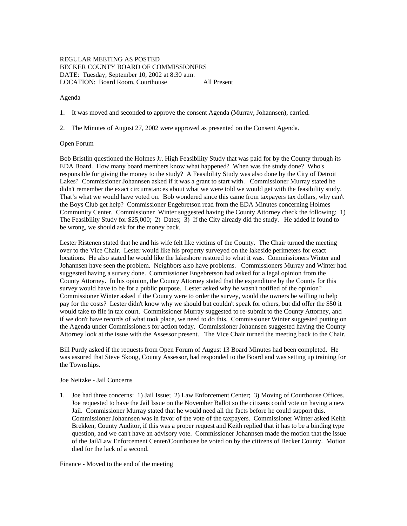# REGULAR MEETING AS POSTED BECKER COUNTY BOARD OF COMMISSIONERS DATE: Tuesday, September 10, 2002 at 8:30 a.m. LOCATION: Board Room, Courthouse All Present

### Agenda

1. It was moved and seconded to approve the consent Agenda (Murray, Johannsen), carried.

2. The Minutes of August 27, 2002 were approved as presented on the Consent Agenda.

#### Open Forum

Bob Bristlin questioned the Holmes Jr. High Feasibility Study that was paid for by the County through its EDA Board. How many board members know what happened? When was the study done? Who's responsible for giving the money to the study? A Feasibility Study was also done by the City of Detroit Lakes? Commissioner Johannsen asked if it was a grant to start with. Commissioner Murray stated he didn't remember the exact circumstances about what we were told we would get with the feasibility study. That's what we would have voted on. Bob wondered since this came from taxpayers tax dollars, why can't the Boys Club get help? Commissioner Engebretson read from the EDA Minutes concerning Holmes Community Center. Commissioner Winter suggested having the County Attorney check the following: 1) The Feasibility Study for \$25,000; 2) Dates; 3) If the City already did the study. He added if found to be wrong, we should ask for the money back.

Lester Ristenen stated that he and his wife felt like victims of the County. The Chair turned the meeting over to the Vice Chair. Lester would like his property surveyed on the lakeside perimeters for exact locations. He also stated he would like the lakeshore restored to what it was. Commissioners Winter and Johannsen have seen the problem. Neighbors also have problems. Commissioners Murray and Winter had suggested having a survey done. Commissioner Engebretson had asked for a legal opinion from the County Attorney. In his opinion, the County Attorney stated that the expenditure by the County for this survey would have to be for a public purpose. Lester asked why he wasn't notified of the opinion? Commissioner Winter asked if the County were to order the survey, would the owners be willing to help pay for the costs? Lester didn't know why we should but couldn't speak for others, but did offer the \$50 it would take to file in tax court. Commissioner Murray suggested to re-submit to the County Attorney, and if we don't have records of what took place, we need to do this. Commissioner Winter suggested putting on the Agenda under Commissioners for action today. Commissioner Johannsen suggested having the County Attorney look at the issue with the Assessor present. The Vice Chair turned the meeting back to the Chair.

Bill Purdy asked if the requests from Open Forum of August 13 Board Minutes had been completed. He was assured that Steve Skoog, County Assessor, had responded to the Board and was setting up training for the Townships.

#### Joe Neitzke - Jail Concerns

1. Joe had three concerns: 1) Jail Issue; 2) Law Enforcement Center; 3) Moving of Courthouse Offices. Joe requested to have the Jail Issue on the November Ballot so the citizens could vote on having a new Jail. Commissioner Murray stated that he would need all the facts before he could support this. Commissioner Johannsen was in favor of the vote of the taxpayers. Commissioner Winter asked Keith Brekken, County Auditor, if this was a proper request and Keith replied that it has to be a binding type question, and we can't have an advisory vote. Commissioner Johannsen made the motion that the issue of the Jail/Law Enforcement Center/Courthouse be voted on by the citizens of Becker County. Motion died for the lack of a second.

#### Finance - Moved to the end of the meeting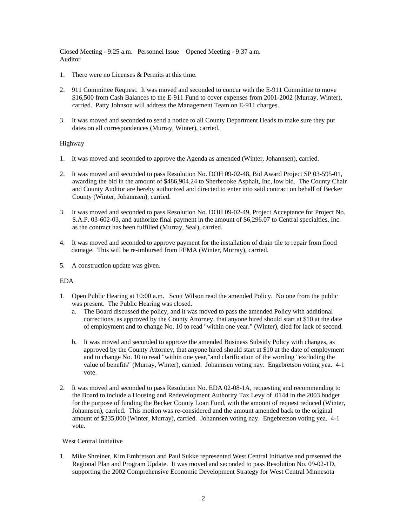Closed Meeting - 9:25 a.m. Personnel Issue Opened Meeting - 9:37 a.m. Auditor

- 1. There were no Licenses & Permits at this time.
- 2. 911 Committee Request. It was moved and seconded to concur with the E-911 Committee to move \$16,500 from Cash Balances to the E-911 Fund to cover expenses from 2001-2002 (Murray, Winter), carried. Patty Johnson will address the Management Team on E-911 charges.
- 3. It was moved and seconded to send a notice to all County Department Heads to make sure they put dates on all correspondences (Murray, Winter), carried.

# Highway

- 1. It was moved and seconded to approve the Agenda as amended (Winter, Johannsen), carried.
- 2. It was moved and seconded to pass Resolution No. DOH 09-02-48, Bid Award Project SP 03-595-01, awarding the bid in the amount of \$486,904.24 to Sherbrooke Asphalt, Inc, low bid. The County Chair and County Auditor are hereby authorized and directed to enter into said contract on behalf of Becker County (Winter, Johannsen), carried.
- 3. It was moved and seconded to pass Resolution No. DOH 09-02-49, Project Acceptance for Project No. S.A.P. 03-602-03, and authorize final payment in the amount of \$6,296.07 to Central specialties, Inc. as the contract has been fulfilled (Murray, Seal), carried.
- 4. It was moved and seconded to approve payment for the installation of drain tile to repair from flood damage. This will be re-imbursed from FEMA (Winter, Murray), carried.
- 5. A construction update was given.

# EDA

- 1. Open Public Hearing at 10:00 a.m. Scott Wilson read the amended Policy. No one from the public was present. The Public Hearing was closed.
	- a. The Board discussed the policy, and it was moved to pass the amended Policy with additional corrections, as approved by the County Attorney, that anyone hired should start at \$10 at the date of employment and to change No. 10 to read "within one year." (Winter), died for lack of second.
	- b. It was moved and seconded to approve the amended Business Subsidy Policy with changes, as approved by the County Attorney, that anyone hired should start at \$10 at the date of employment and to change No. 10 to read "within one year,"and clarification of the wording "excluding the value of benefits" (Murray, Winter), carried. Johannsen voting nay. Engebretson voting yea. 4-1 vote.
- 2. It was moved and seconded to pass Resolution No. EDA 02-08-1A, requesting and recommending to the Board to include a Housing and Redevelopment Authority Tax Levy of .0144 in the 2003 budget for the purpose of funding the Becker County Loan Fund, with the amount of request reduced (Winter, Johannsen), carried. This motion was re-considered and the amount amended back to the original amount of \$235,000 (Winter, Murray), carried. Johannsen voting nay. Engebretson voting yea. 4-1 vote.

# West Central Initiative

1. Mike Shreiner, Kim Embretson and Paul Sukke represented West Central Initiative and presented the Regional Plan and Program Update. It was moved and seconded to pass Resolution No. 09-02-1D, supporting the 2002 Comprehensive Economic Development Strategy for West Central Minnesota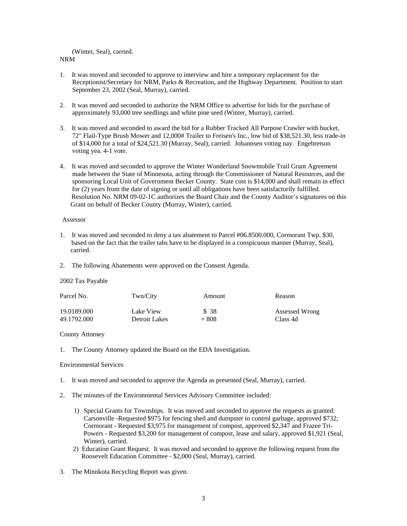# (Winter, Seal), carried.

### NRM

- 1. It was moved and seconded to approve to interview and hire a temporary replacement for the Receptionist/Secretary for NRM, Parks & Recreation, and the Highway Department. Position to start September 23, 2002 (Seal, Murray), carried.
- 2. It was moved and seconded to authorize the NRM Office to advertise for bids for the purchase of approximately 93,000 tree seedlings and white pine seed (Winter, Murray), carried.
- 3. It was moved and seconded to award the bid for a Rubber Tracked All Purpose Crawler with bucket, 72" Flail-Type Brush Mower and 12,000# Trailer to Freisen's Inc., low bid of \$38,521.30, less trade-in of \$14,000 for a total of \$24,521.30 (Murray, Seal), carried. Johannsen voting nay. Engebretson voting yea. 4-1 vote.
- 4. It was moved and seconded to approve the Winter Wonderland Snowmobile Trail Grant Agreement made between the State of Minnesota, acting through the Commissioner of Natural Resources, and the sponsoring Local Unit of Government Becker County. State cost is \$14,000 and shall remain in effect for (2) years from the date of signing or until all obligations have been satisfactorily fulfilled. Resolution No. NRM 09-02-1C authorizes the Board Chair and the County Auditor's signatures on this Grant on behalf of Becker County (Murray, Winter), carried.

#### Assessor

- 1. It was moved and seconded to deny a tax abatement to Parcel #06.8500.000, Cormorant Twp. \$30, based on the fact that the trailer tabs have to be displayed in a conspicuous manner (Murray, Seal), carried.
- 2. The following Abatements were approved on the Consent Agenda.

# 2002 Tax Payable

| Parcel No.  | Twn/City      | Amount | Reason         |
|-------------|---------------|--------|----------------|
| 19.0189.000 | Lake View     | \$ 38  | Assessed Wrong |
| 49.1792.000 | Detroit Lakes | $+808$ | Class 4d       |

# County Attorney

1. The County Attorney updated the Board on the EDA Investigation.

# Environmental Services

- 1. It was moved and seconded to approve the Agenda as presented (Seal, Murray), carried.
- 2. The minutes of the Environmental Services Advisory Committee included:
	- 1) Special Grants for Townships. It was moved and seconded to approve the requests as granted: Carsonville -Requested \$975 for fencing shed and dumpster to control garbage, approved \$732; Cormorant - Requested \$3,975 for management of compost, approved \$2,347 and Frazee Tri-Powers - Requested \$3,200 for management of compost, lease and salary, approved \$1,921 (Seal, Winter), carried.
	- 2) Education Grant Request. It was moved and seconded to approve the following request from the Roosevelt Education Committee - \$2,000 (Seal, Murray), carried.
- 3. The Minnkota Recycling Report was given.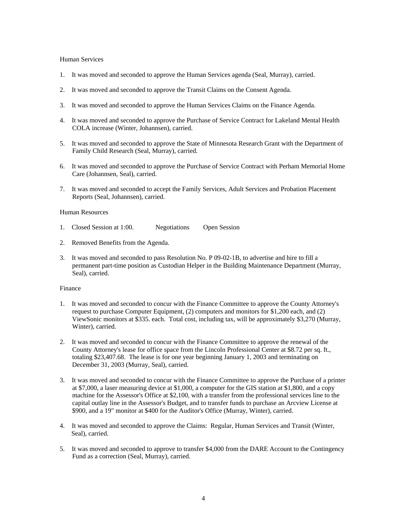### Human Services

- 1. It was moved and seconded to approve the Human Services agenda (Seal, Murray), carried.
- 2. It was moved and seconded to approve the Transit Claims on the Consent Agenda.
- 3. It was moved and seconded to approve the Human Services Claims on the Finance Agenda.
- 4. It was moved and seconded to approve the Purchase of Service Contract for Lakeland Mental Health COLA increase (Winter, Johannsen), carried.
- 5. It was moved and seconded to approve the State of Minnesota Research Grant with the Department of Family Child Research (Seal, Murray), carried.
- 6. It was moved and seconded to approve the Purchase of Service Contract with Perham Memorial Home Care (Johannsen, Seal), carried.
- 7. It was moved and seconded to accept the Family Services, Adult Services and Probation Placement Reports (Seal, Johannsen), carried.

# Human Resources

- 1. Closed Session at 1:00. Negotiations Open Session
- 2. Removed Benefits from the Agenda.
- 3. It was moved and seconded to pass Resolution No. P 09-02-1B, to advertise and hire to fill a permanent part-time position as Custodian Helper in the Building Maintenance Department (Murray, Seal), carried.

# Finance

- 1. It was moved and seconded to concur with the Finance Committee to approve the County Attorney's request to purchase Computer Equipment, (2) computers and monitors for \$1,200 each, and (2) ViewSonic monitors at \$335. each. Total cost, including tax, will be approximately \$3,270 (Murray, Winter), carried.
- 2. It was moved and seconded to concur with the Finance Committee to approve the renewal of the County Attorney's lease for office space from the Lincoln Professional Center at \$8.72 per sq. ft., totaling \$23,407.68. The lease is for one year beginning January 1, 2003 and terminating on December 31, 2003 (Murray, Seal), carried.
- 3. It was moved and seconded to concur with the Finance Committee to approve the Purchase of a printer at \$7,000, a laser measuring device at \$1,000, a computer for the GIS station at \$1,800, and a copy machine for the Assessor's Office at \$2,100, with a transfer from the professional services line to the capital outlay line in the Assessor's Budget, and to transfer funds to purchase an Arcview License at \$900, and a 19" monitor at \$400 for the Auditor's Office (Murray, Winter), carried.
- 4. It was moved and seconded to approve the Claims: Regular, Human Services and Transit (Winter, Seal), carried.
- 5. It was moved and seconded to approve to transfer \$4,000 from the DARE Account to the Contingency Fund as a correction (Seal, Murray), carried.